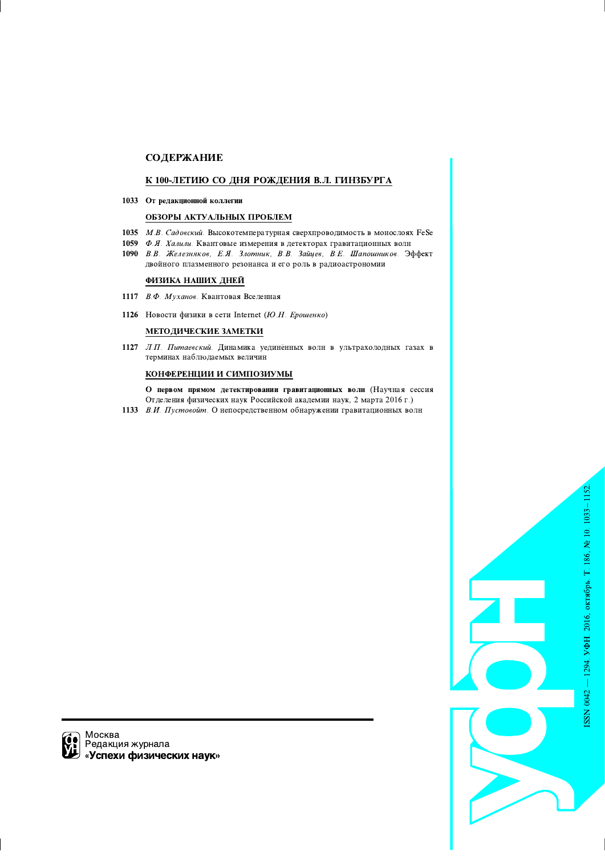# **СОДЕРЖАНИЕ**

# К 100-ЛЕТИЮ СО ДНЯ РОЖДЕНИЯ В.Л. ГИНЗБУРГА

1033 От редакционной коллегии

# ОБЗОРЫ АКТУАЛЬНЫХ ПРОБЛЕМ

- 1035 М.В. Садовский. Высокотемпературная сверхпроводимость в монослоях FeSe
- 1059 Ф.Я. Халили. Квантовые измерения в детекторах гравитационных волн
- 1090 В.В. Железняков, Е.Я. Злотник, В.В. Зайцев, В.Е. Шапошников. Эффект двойного плазменного резонанса и его роль в радиоастрономии

# ФИЗИКА НАШИХ ДНЕЙ

1117 В.Ф. Муханов. Квантовая Вселенная

1126 Новости физики в сети Internet (Ю.Н. Ерошенко)

# МЕТОДИЧЕСКИЕ ЗАМЕТКИ

1127 Л.П. Питаевский. Динамика уединённых волн в ультрахолодных газах в терминах наблюдаемых величин

# КОНФЕРЕНЦИИ И СИМПОЗИУМЫ

О первом прямом детектировании гравитационных волн (Научная сессия Отделения физических наук Российской академии наук, 2 марта 2016 г.)

1133 В.И. Пустовойт. О непосредственном обнаружении гравитационных волн



Москва Редакция журнала «Успехи физических наук»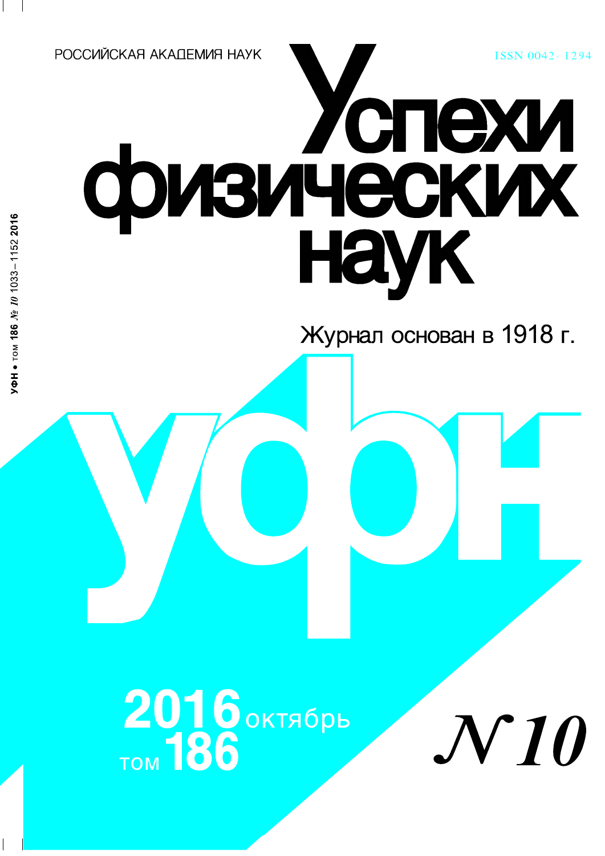РОССИЙСКАЯ АКАПЕМИЯ НАУК

# физических

Журнал основан в 1918 г.

ISSN 0042-1294

2016 октябрь<br>TOM 186

**VIO**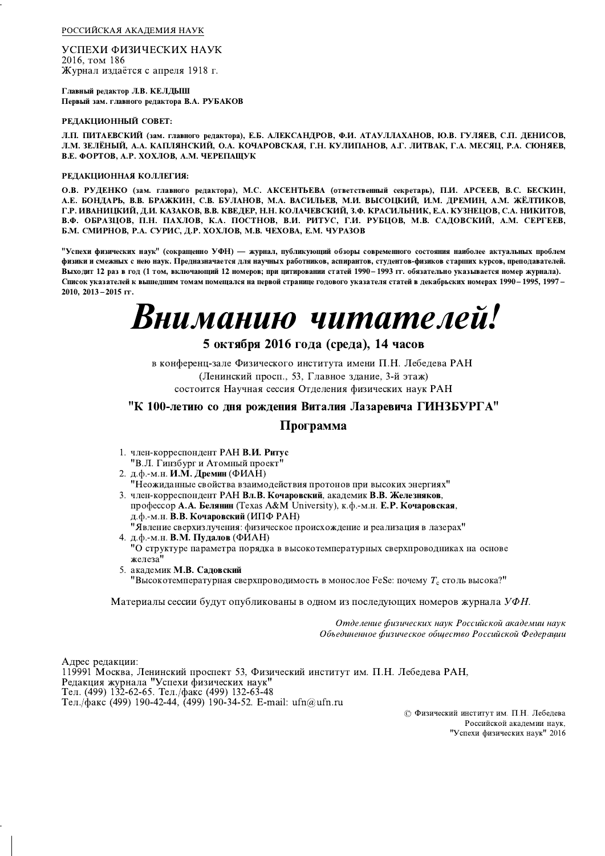РОССИЙСКАЯ АКАДЕМИЯ НАУК

УСПЕХИ ФИЗИЧЕСКИХ НАУК 2016, том 186 Журнал издаётся с апреля 1918 г.

Главный редактор Л.В. КЕЛДЫШ Первый зам. главного редактора В.А. РУБАКОВ

# РЕДАКЦИОННЫЙ СОВЕТ:

Л.П. ПИТАЕВСКИЙ (зам. главного редактора), Е.Б. АЛЕКСАНДРОВ, Ф.И. АТАУЛЛАХАНОВ, Ю.В. ГУЛЯЕВ, С.П. ДЕНИСОВ, Л.М. ЗЕЛЁНЫЙ, А.А. КАПЛЯНСКИЙ, О.А. КОЧАРОВСКАЯ, Г.Н. КУЛИПАНОВ, А.Г. ЛИТВАК, Г.А. МЕСЯЦ, Р.А. СЮНЯЕВ, В.Е. ФОРТОВ, А.Р. ХОХЛОВ, А.М. ЧЕРЕПАЩУК

#### РЕДАКЦИОННАЯ КОЛЛЕГИЯ:

О.В. РУДЕНКО (зам. главного редактора), М.С. АКСЕНТЬЕВА (ответственный секретарь), П.И. АРСЕЕВ, В.С. БЕСКИН, А.Е. БОНДАРЬ, В.В. БРАЖКИН, С.В. БУЛАНОВ, М.А. ВАСИЛЬЕВ, М.И. ВЫСОЦКИЙ, И.М. ДРЕМИН, А.М. ЖЁЛТИКОВ, Г.Р. ИВАНИЦКИЙ, Д.И. КАЗАКОВ, В.В. КВЕДЕР, Н.Н. КОЛАЧЕВСКИЙ, З.Ф. КРАСИЛЬНИК, Е.А. КУЗНЕЦОВ, С.А. НИКИТОВ, В.Ф. ОБРАЗЦОВ, П.Н. ПАХЛОВ, К.А. ПОСТНОВ, В.И. РИТУС, Г.И. РУБЦОВ, М.В. САДОВСКИЙ, А.М. СЕРГЕЕВ, Б.М. СМИРНОВ, Р.А. СУРИС, Д.Р. ХОХЛОВ, М.В. ЧЕХОВА, Е.М. ЧУРАЗОВ

"Успехи физических наук" (сокращенно УФН) — журнал, публикующий обзоры современного состояния наиболее актуальных проблем физики и смежных с нею наук. Предназначается для научных работников, аспирантов, студентов-физиков старших курсов, преподавателей. Выходит 12 раз в год (1 том, включающий 12 номеров; при цитировании статей 1990 – 1993 гг. обязательно указывается номер журнала). Список указателей к вышедшим томам помещался на первой странице годового указателя статей в декабрьских номерах 1990-1995, 1997-2010, 2013-2015 гг.

# Вниманию читателей!

# 5 октября 2016 года (среда), 14 часов

в конференц-зале Физического института имени П.Н. Лебедева РАН (Ленинский просп., 53, Главное здание, 3-й этаж) состоится Научная сессия Отделения физических наук РАН

# "К 100-летию со дня рождения Виталия Лазаревича ГИНЗБУРГА"

# Программа

- 1. член-корреспондент РАН В.И. Ритус
- "В.Л. Гинзбург и Атомный проект
- 2. д.ф.-м.н. И.М. Дремин (ФИАН)

"Неожиданные свойства взаимодействия протонов при высоких энергиях" 3. член-корреспондент РАН Вл.В. Кочаровский, академик В.В. Железняков,

- профессор А.А. Белянин (Texas A&M University), к.ф.-м.н. Е.Р. Кочаровская, д.ф.-м.н. В.В. Кочаровский (ИПФ РАН)
- "Явление сверхизлучения: физическое происхождение и реализация в лазерах" 4. д.ф.-м.н. В.М. Пудалов (ФИАН) "О структуре параметра порядка в высокотемпературных сверхпроводниках на основе железа"
- 5. академик М.В. Садовский "Высокотемпературная сверхпроводимость в монослое FeSe: почему  $T_c$  столь высока?"

Материалы сессии будут опубликованы в одном из последующих номеров журнала УФН.

Отделение физических наук Российской академии наук Объединенное физическое общество Российской Федерации

Адрес редакции: 119991 Москва, Ленинский проспект 53, Физический институт им. П.Н. Лебедева РАН, Редакция журнала "Успехи физических наук" Тел. (499) 132-62-65. Тел./факс (499) 132-63-48 Тел./факс (499) 190-42-44, (499) 190-34-52. E-mail: ufn@ufn.ru

> © Физический институт им. П.Н. Лебедева Российской академии наук, "Успехи физических наук" 2016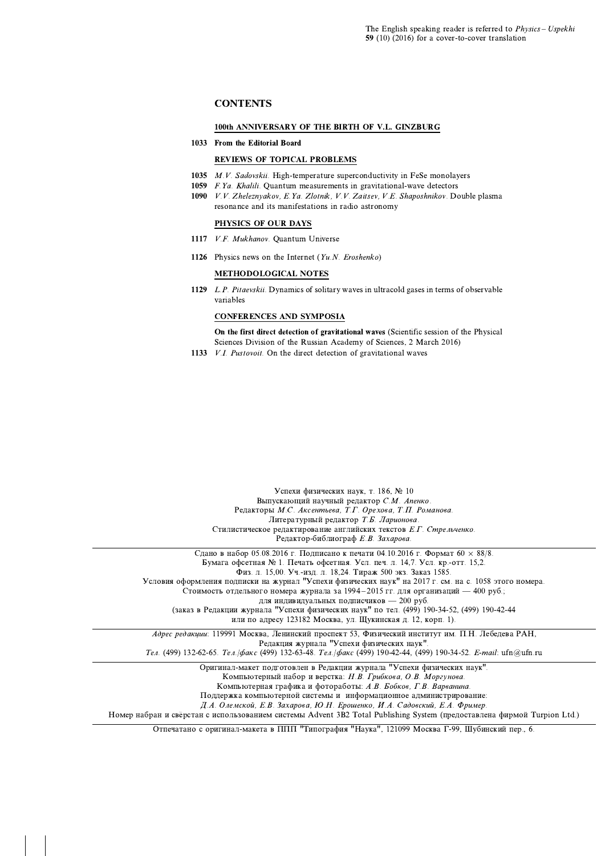# **CONTENTS**

#### 100th ANNIVERSARY OF THE BIRTH OF V.L. GINZBURG

# 1033 From the Editorial Board

# **REVIEWS OF TOPICAL PROBLEMS**

- 1035 M.V. Sadovskii. High-temperature superconductivity in FeSe monolayers
- 1059 *F.Ya. Khalili*. Ouantum measurements in gravitational-wave detectors
- 1090 V.V. Zheleznyakov, E.Ya. Zlotnik, V.V. Zaitsev, V.E. Shaposhnikov. Double plasma resonance and its manifestations in radio astronomy

# PHYSICS OF OUR DAYS

- 1117 V.F. Mukhanov. Quantum Universe
- 1126 Physics news on the Internet (Yu.N. Eroshenko)

# **METHODOLOGICAL NOTES**

1129 L.P. Pitaevskii. Dynamics of solitary waves in ultracold gases in terms of observable variables

# **CONFERENCES AND SYMPOSIA**

On the first direct detection of gravitational waves (Scientific session of the Physical Sciences Division of the Russian Academy of Sciences, 2 March 2016)

1133 V.I. Pustovoit. On the direct detection of gravitational waves

Успехи физических наук, т. 186, № 10 Выпускающий научный редактор С.М. Апенко. Редакторы М.С. Аксентьева, Т.Г. Орехова, Т.П. Романова. Литературный редактор Т.Б. Ларионова. Стилистическое редактирование английских текстов Е.Г. Стрельченко. Редактор-библиограф Е.В. Захарова. Сдано в набор 05.08.2016 г. Подписано к печати 04.10.2016 г. Формат 60  $\times$  88/8. Бумага офсетная № 1. Печать офсетная. Усл. печ. л. 14,7. Усл. кр.-отт. 15,2. Физ. л. 15,00. Уч.-изд. л. 18,24. Тираж 500 экз. Заказ 1585. Условия оформления подписки на журнал "Успехи физических наук" на 2017 г. см. на с. 1058 этого номера. .<br>Стоимость отдельного номера журнала за 1994-2015 гг. для организаций — 400 руб.; для индивидуальных подписчиков - 200 руб. (заказ в Редакции журнала "Успехи физических наук" по тел. (499) 190-34-52, (499) 190-42-44 или по адресу 123182 Москва, ул. Шукинская д. 12, корп. 1). Адрес редакции: 119991 Москва, Ленинский проспект 53, Физический институт им. П.Н. Лебедева РАН, Редакция журнала "Успехи физических наук" Тел. (499) 132-62-65. Тел./факс (499) 132-63-48. Тел./факс (499) 190-42-44, (499) 190-34-52. E-mail: ufn@ufn.ru Оригинал-макет подготовлен в Редакции журнала "Успехи физических наук". Компьютерный набор и верстка: Н.В. Грибкова, О.В. Моргунова, Компьютерная графика и фотоработы: А.В. Бобков, Г.В. Варванина. Поддержка компьютерной системы и информационное администрирование: Д.А. Олемской, Е.В. Захарова, Ю.Н. Ерошенко, И.А. Садовский, Е.А. Фример. Номер набран и свёрстан с использованием системы Advent 3B2 Total Publishing System (предоставлена фирмой Turpion Ltd.)

Отпечатано с оригинал-макета в ППП "Типография "Наука", 121099 Москва Г-99, Шубинский пер., 6.